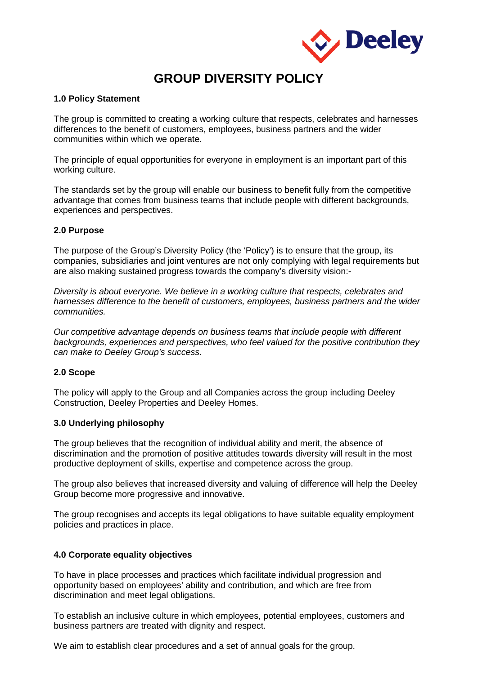

# **GROUP DIVERSITY POLICY**

## **1.0 Policy Statement**

The group is committed to creating a working culture that respects, celebrates and harnesses differences to the benefit of customers, employees, business partners and the wider communities within which we operate.

The principle of equal opportunities for everyone in employment is an important part of this working culture.

The standards set by the group will enable our business to benefit fully from the competitive advantage that comes from business teams that include people with different backgrounds, experiences and perspectives.

## **2.0 Purpose**

The purpose of the Group's Diversity Policy (the 'Policy') is to ensure that the group, its companies, subsidiaries and joint ventures are not only complying with legal requirements but are also making sustained progress towards the company's diversity vision:-

*Diversity is about everyone. We believe in a working culture that respects, celebrates and harnesses difference to the benefit of customers, employees, business partners and the wider communities.* 

*Our competitive advantage depends on business teams that include people with different backgrounds, experiences and perspectives, who feel valued for the positive contribution they can make to Deeley Group's success.*

# **2.0 Scope**

The policy will apply to the Group and all Companies across the group including Deeley Construction, Deeley Properties and Deeley Homes.

#### **3.0 Underlying philosophy**

The group believes that the recognition of individual ability and merit, the absence of discrimination and the promotion of positive attitudes towards diversity will result in the most productive deployment of skills, expertise and competence across the group.

The group also believes that increased diversity and valuing of difference will help the Deeley Group become more progressive and innovative.

The group recognises and accepts its legal obligations to have suitable equality employment policies and practices in place.

## **4.0 Corporate equality objectives**

To have in place processes and practices which facilitate individual progression and opportunity based on employees' ability and contribution, and which are free from discrimination and meet legal obligations.

To establish an inclusive culture in which employees, potential employees, customers and business partners are treated with dignity and respect.

We aim to establish clear procedures and a set of annual goals for the group.